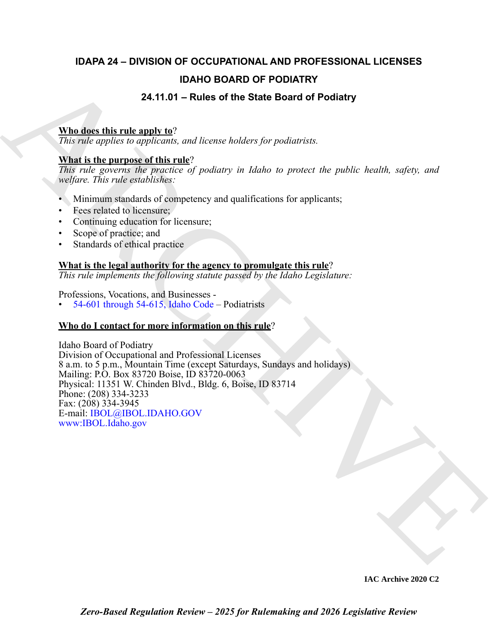# **IDAPA 24 – DIVISION OF OCCUPATIONAL AND PROFESSIONAL LICENSES IDAHO BOARD OF PODIATRY**

# **24.11.01 – Rules of the State Board of Podiatry**

# **Who does this rule apply to**?

*This rule applies to applicants, and license holders for podiatrists.*

# **What is the purpose of this rule**?

*This rule governs the practice of podiatry in Idaho to protect the public health, safety, and welfare. This rule establishes:*

- Minimum standards of competency and qualifications for applicants;
- Fees related to licensure;
- Continuing education for licensure;
- Scope of practice; and
- Standards of ethical practice

# **What is the legal authority for the agency to promulgate this rule**?

*This rule implements the following statute passed by the Idaho Legislature:*

Professions, Vocations, and Businesses -

 $54-601$  through  $54-615$ , Idaho Code – Podiatrists

# **Who do I contact for more information on this rule**?

**IDAHO BOARD OF PODIATRY**<br>
24.11.01 – Rules of the State Board of Podiatry<br>
This rate applies in applicants and increase bushes, for productive<br>
This rate applies in applicants and increase lookes for productive<br>
This rat Idaho Board of Podiatry Division of Occupational and Professional Licenses 8 a.m. to 5 p.m., Mountain Time (except Saturdays, Sundays and holidays) Mailing: P.O. Box 83720 Boise, ID 83720-0063 Physical: 11351 W. Chinden Blvd., Bldg. 6, Boise, ID 83714 Phone: (208) 334-3233 Fax: (208) 334-3945 E-mail: IBOL@IBOL.IDAHO.GOV www:IBOL.Idaho.gov

**IAC Archive 2020 C2**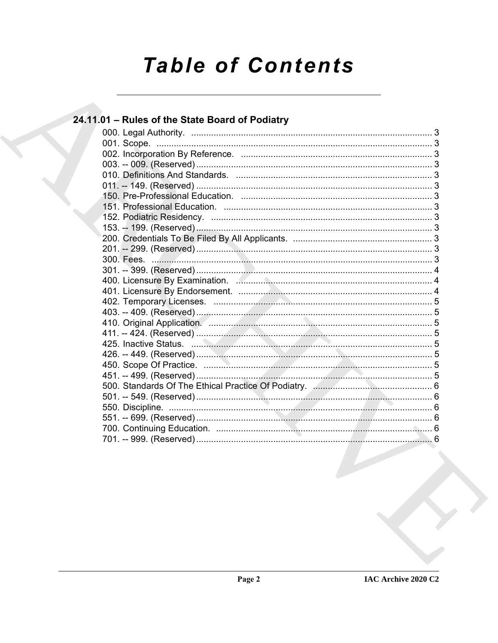# **Table of Contents**

| 24.11.01 - Rules of the State Board of Podiatry |  |
|-------------------------------------------------|--|
|                                                 |  |
|                                                 |  |
|                                                 |  |
|                                                 |  |
|                                                 |  |
|                                                 |  |
|                                                 |  |
|                                                 |  |
|                                                 |  |
|                                                 |  |
|                                                 |  |
|                                                 |  |
|                                                 |  |
|                                                 |  |
|                                                 |  |
|                                                 |  |
|                                                 |  |
|                                                 |  |
|                                                 |  |
|                                                 |  |
|                                                 |  |
|                                                 |  |
|                                                 |  |
|                                                 |  |
|                                                 |  |
|                                                 |  |
|                                                 |  |
|                                                 |  |
|                                                 |  |
|                                                 |  |
|                                                 |  |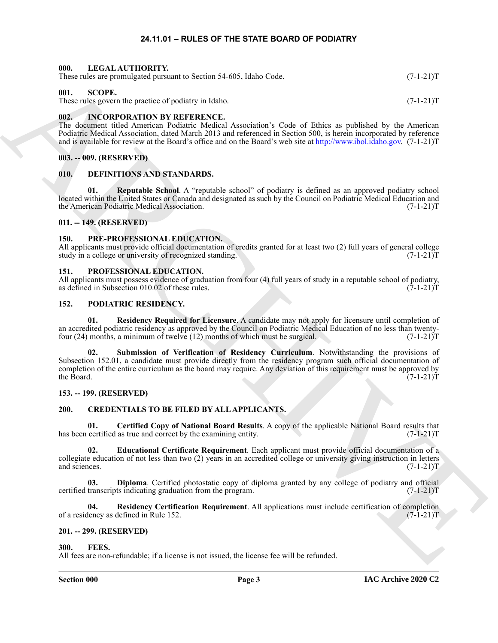# **24.11.01 – RULES OF THE STATE BOARD OF PODIATRY**

#### <span id="page-2-23"></span><span id="page-2-1"></span><span id="page-2-0"></span>**000. LEGAL AUTHORITY.**

<span id="page-2-29"></span>

| These rules are promulgated pursuant to Section 54-605, Idaho Code.<br>$(7-1-21)T$ |
|------------------------------------------------------------------------------------|
|------------------------------------------------------------------------------------|

# <span id="page-2-2"></span>**001. SCOPE.**

These rules govern the practice of podiatry in Idaho. (7-1-21)T

# <span id="page-2-22"></span><span id="page-2-3"></span>**002. INCORPORATION BY REFERENCE.**

The document titled American Podiatric Medical Association's Code of Ethics as published by the American Podiatric Medical Association, dated March 2013 and referenced in Section 500, is herein incorporated by reference and is available for review at the Board's office and on the Board's web site at http://www.ibol.idaho.gov. (7-1-21)T

#### <span id="page-2-4"></span>**003. -- 009. (RESERVED)**

#### <span id="page-2-19"></span><span id="page-2-5"></span>**010. DEFINITIONS AND STANDARDS.**

<span id="page-2-20"></span>**Reputable School**. A "reputable school" of podiatry is defined as an approved podiatry school located within the United States or Canada and designated as such by the Council on Podiatric Medical Education and the American Podiatric Medical Association.

# <span id="page-2-6"></span>**011. -- 149. (RESERVED)**

# <span id="page-2-27"></span><span id="page-2-7"></span>**150. PRE-PROFESSIONAL EDUCATION.**

All applicants must provide official documentation of credits granted for at least two (2) full years of general college study in a college or university of recognized standing. (7-1-21) study in a college or university of recognized standing.

# <span id="page-2-28"></span><span id="page-2-8"></span>**151. PROFESSIONAL EDUCATION.**

All applicants must possess evidence of graduation from four (4) full years of study in a reputable school of podiatry, as defined in Subsection 010.02 of these rules. (7-1-21) as defined in Subsection 010.02 of these rules.

# <span id="page-2-24"></span><span id="page-2-9"></span>**152. PODIATRIC RESIDENCY.**

<span id="page-2-26"></span><span id="page-2-25"></span>**01. Residency Required for Licensure**. A candidate may not apply for licensure until completion of an accredited podiatric residency as approved by the Council on Podiatric Medical Education of no less than twenty-<br>four (24) months, a minimum of twelve (12) months of which must be surgical. (7-1-21) four  $(24)$  months, a minimum of twelve  $(12)$  months of which must be surgical.

Here, also, a proposed particular is Society 3-4-405, higher Cole.<br>
The SCOPE Execution of the Matter Scotting and the SCOPE of the SCOPE Execution of the Matter Scotting and the SCOPE of the Matter Scotting and the SCOPE **02. Submission of Verification of Residency Curriculum**. Notwithstanding the provisions of Subsection 152.01, a candidate must provide directly from the residency program such official documentation of completion of the entire curriculum as the board may require. Any deviation of this requirement must be approved by the Board. (7-1-21) the Board. (7-1-21)T

# <span id="page-2-10"></span>**153. -- 199. (RESERVED)**

# <span id="page-2-14"></span><span id="page-2-11"></span>**200. CREDENTIALS TO BE FILED BY ALL APPLICANTS.**

<span id="page-2-15"></span>**01.** Certified Copy of National Board Results. A copy of the applicable National Board results that certified as true and correct by the examining entity. (7-1-21) has been certified as true and correct by the examining entity.

<span id="page-2-17"></span>**02. Educational Certificate Requirement**. Each applicant must provide official documentation of a collegiate education of not less than two (2) years in an accredited college or university giving instruction in letters and sciences.  $(7-1-21)T$ 

<span id="page-2-16"></span>**03. Diploma**. Certified photostatic copy of diploma granted by any college of podiatry and official transcripts indicating graduation from the program. certified transcripts indicating graduation from the program.

<span id="page-2-18"></span>**04. Residency Certification Requirement**. All applications must include certification of completion of a residency as defined in Rule 152.

# <span id="page-2-12"></span>**201. -- 299. (RESERVED)**

#### <span id="page-2-21"></span><span id="page-2-13"></span>**300. FEES.**

All fees are non-refundable; if a license is not issued, the license fee will be refunded.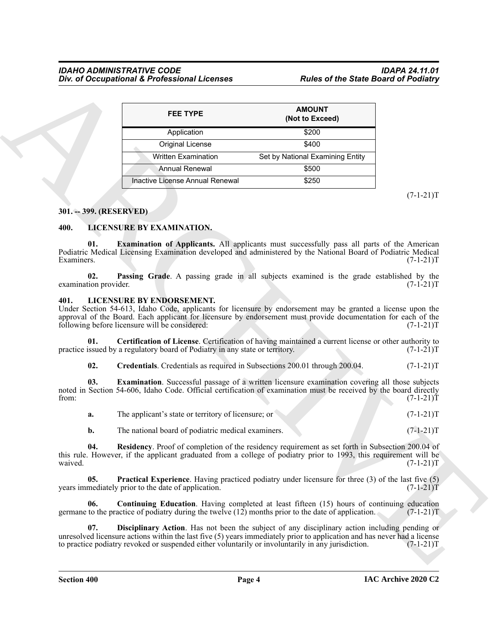|                         | <b>FEE TYPE</b>                                                                                                                                                                                                                                                                                             | <b>AMOUNT</b><br>(Not to Exceed) |                                                          |
|-------------------------|-------------------------------------------------------------------------------------------------------------------------------------------------------------------------------------------------------------------------------------------------------------------------------------------------------------|----------------------------------|----------------------------------------------------------|
|                         | Application                                                                                                                                                                                                                                                                                                 | \$200                            |                                                          |
|                         | Original License                                                                                                                                                                                                                                                                                            | \$400                            |                                                          |
|                         | <b>Written Examination</b>                                                                                                                                                                                                                                                                                  | Set by National Examining Entity |                                                          |
|                         | <b>Annual Renewal</b>                                                                                                                                                                                                                                                                                       | \$500                            |                                                          |
|                         | Inactive License Annual Renewal                                                                                                                                                                                                                                                                             | \$250                            |                                                          |
|                         |                                                                                                                                                                                                                                                                                                             |                                  | $(7-1-21)T$                                              |
| 301. -- 399. (RESERVED) |                                                                                                                                                                                                                                                                                                             |                                  |                                                          |
| 400.                    | LICENSURE BY EXAMINATION.                                                                                                                                                                                                                                                                                   |                                  |                                                          |
| 01.<br>Examiners.       | <b>Examination of Applicants.</b> All applicants must successfully pass all parts of the American<br>Podiatric Medical Licensing Examination developed and administered by the National Board of Podiatric Medical                                                                                          |                                  | $(7-1-21)T$                                              |
| 02.                     | Passing Grade. A passing grade in all subjects examined is the grade established by the                                                                                                                                                                                                                     |                                  |                                                          |
| examination provider.   |                                                                                                                                                                                                                                                                                                             |                                  | $(7-1-21)T$                                              |
| 401.                    | LICENSURE BY ENDORSEMENT.<br>Under Section 54-613, Idaho Code, applicants for licensure by endorsement may be granted a license upon the<br>approval of the Board. Each applicant for licensure by endorsement must provide documentation for each of the<br>following before licensure will be considered: |                                  | $(7-1-21)T$                                              |
| 01.                     | Certification of License. Certification of having maintained a current license or other authority to<br>practice issued by a regulatory board of Podiatry in any state or territory.                                                                                                                        |                                  | $(7-1-21)T$                                              |
| 02.                     | Credentials. Credentials as required in Subsections 200.01 through 200.04.                                                                                                                                                                                                                                  |                                  | $(7-1-21)T$                                              |
| 03.                     | Examination. Successful passage of a written licensure examination covering all those subjects<br>noted in Section 54-606, Idaho Code. Official certification of examination must be received by the board directly                                                                                         |                                  |                                                          |
|                         |                                                                                                                                                                                                                                                                                                             |                                  |                                                          |
| a.                      | The applicant's state or territory of licensure; or                                                                                                                                                                                                                                                         |                                  |                                                          |
| b.                      | The national board of podiatric medical examiners.                                                                                                                                                                                                                                                          |                                  |                                                          |
| 04.                     | Residency. Proof of completion of the residency requirement as set forth in Subsection 200.04 of<br>this rule. However, if the applicant graduated from a college of podiatry prior to 1993, this requirement will be                                                                                       |                                  | $(7-1-21)T$<br>$(7-1-21)T$<br>$(7-1-21)T$<br>$(7-1-21)T$ |
| from:<br>waived.<br>05. | Practical Experience. Having practiced podiatry under licensure for three (3) of the last five (5)<br>years immediately prior to the date of application.                                                                                                                                                   |                                  | $(7-1-21)T$                                              |
| 06.                     | <b>Continuing Education.</b> Having completed at least fifteen (15) hours of continuing education<br>germane to the practice of podiatry during the twelve $(12)$ months prior to the date of application.                                                                                                  |                                  | $(7-1-21)T$                                              |

# <span id="page-3-0"></span>**301. -- 399. (RESERVED)**

# <span id="page-3-12"></span><span id="page-3-11"></span><span id="page-3-1"></span>**400. LICENSURE BY EXAMINATION.**

#### <span id="page-3-13"></span><span id="page-3-4"></span><span id="page-3-3"></span><span id="page-3-2"></span>**401. LICENSURE BY ENDORSEMENT.**

<span id="page-3-10"></span><span id="page-3-9"></span><span id="page-3-8"></span><span id="page-3-7"></span><span id="page-3-6"></span><span id="page-3-5"></span>

|  | The applicant's state or territory of licensure; or |  |  |  | $(7-1-21)T$ |
|--|-----------------------------------------------------|--|--|--|-------------|
|--|-----------------------------------------------------|--|--|--|-------------|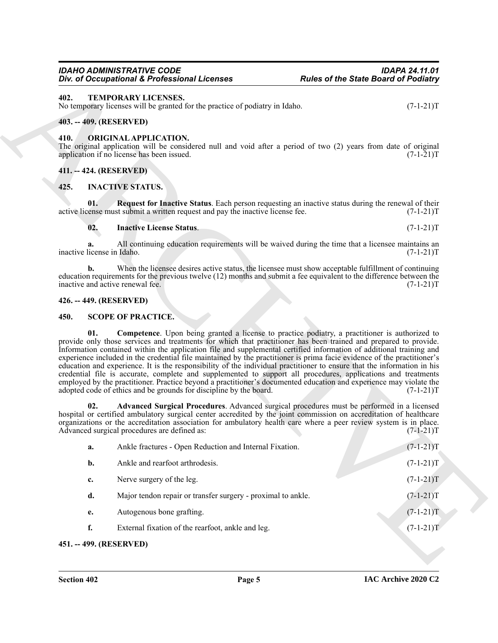#### <span id="page-4-7"></span>**Section 402 Page 5**

# <span id="page-4-15"></span><span id="page-4-0"></span>**402. TEMPORARY LICENSES.**

# <span id="page-4-1"></span>**403. -- 409. (RESERVED)**

# <span id="page-4-11"></span><span id="page-4-2"></span>**410. ORIGINAL APPLICATION.**

# <span id="page-4-3"></span>**411. -- 424. (RESERVED)**

# <span id="page-4-10"></span><span id="page-4-9"></span><span id="page-4-8"></span><span id="page-4-4"></span>**425. INACTIVE STATUS.**

# <span id="page-4-5"></span>**426. -- 449. (RESERVED)**

# <span id="page-4-14"></span><span id="page-4-13"></span><span id="page-4-12"></span><span id="page-4-6"></span>**450. SCOPE OF PRACTICE.**

|                                  | Div. of Occupational & Professional Licenses                                                        | <b>Rules of the State Board of Podiatry</b>                                                                                                                                                                                                                                                                                                                                                                                                                                                                                                                                                                                                                                                                                                                                                                                                                   |
|----------------------------------|-----------------------------------------------------------------------------------------------------|---------------------------------------------------------------------------------------------------------------------------------------------------------------------------------------------------------------------------------------------------------------------------------------------------------------------------------------------------------------------------------------------------------------------------------------------------------------------------------------------------------------------------------------------------------------------------------------------------------------------------------------------------------------------------------------------------------------------------------------------------------------------------------------------------------------------------------------------------------------|
| 402.                             | TEMPORARY LICENSES.<br>No temporary licenses will be granted for the practice of podiatry in Idaho. | $(7-1-21)T$                                                                                                                                                                                                                                                                                                                                                                                                                                                                                                                                                                                                                                                                                                                                                                                                                                                   |
| 403. -- 409. (RESERVED)          |                                                                                                     |                                                                                                                                                                                                                                                                                                                                                                                                                                                                                                                                                                                                                                                                                                                                                                                                                                                               |
| 410.                             | <b>ORIGINAL APPLICATION.</b><br>application if no license has been issued.                          | The original application will be considered null and void after a period of two (2) years from date of original<br>$(7-1-21)T$                                                                                                                                                                                                                                                                                                                                                                                                                                                                                                                                                                                                                                                                                                                                |
| 411. -- 424. (RESERVED)          |                                                                                                     |                                                                                                                                                                                                                                                                                                                                                                                                                                                                                                                                                                                                                                                                                                                                                                                                                                                               |
| 425.                             | <b>INACTIVE STATUS.</b>                                                                             |                                                                                                                                                                                                                                                                                                                                                                                                                                                                                                                                                                                                                                                                                                                                                                                                                                                               |
| 01.                              | active license must submit a written request and pay the inactive license fee.                      | Request for Inactive Status. Each person requesting an inactive status during the renewal of their<br>$(7-1-21)T$                                                                                                                                                                                                                                                                                                                                                                                                                                                                                                                                                                                                                                                                                                                                             |
| 02.                              | <b>Inactive License Status.</b>                                                                     | $(7-1-21)T$                                                                                                                                                                                                                                                                                                                                                                                                                                                                                                                                                                                                                                                                                                                                                                                                                                                   |
| a.<br>inactive license in Idaho. |                                                                                                     | All continuing education requirements will be waived during the time that a licensee maintains an<br>$(7-1-21)T$                                                                                                                                                                                                                                                                                                                                                                                                                                                                                                                                                                                                                                                                                                                                              |
| b.                               | inactive and active renewal fee.                                                                    | When the licensee desires active status, the licensee must show acceptable fulfillment of continuing<br>education requirements for the previous twelve (12) months and submit a fee equivalent to the difference between the<br>$(7-1-21)T$                                                                                                                                                                                                                                                                                                                                                                                                                                                                                                                                                                                                                   |
| 426. -- 449. (RESERVED)          |                                                                                                     |                                                                                                                                                                                                                                                                                                                                                                                                                                                                                                                                                                                                                                                                                                                                                                                                                                                               |
| 450.                             | <b>SCOPE OF PRACTICE.</b>                                                                           |                                                                                                                                                                                                                                                                                                                                                                                                                                                                                                                                                                                                                                                                                                                                                                                                                                                               |
| 01.                              | adopted code of ethics and be grounds for discipline by the board.                                  | <b>Competence</b> . Upon being granted a license to practice podiatry, a practitioner is authorized to<br>provide only those services and treatments for which that practitioner has been trained and prepared to provide.<br>Information contained within the application file and supplemental certified information of additional training and<br>experience included in the credential file maintained by the practitioner is prima facie evidence of the practitioner's<br>education and experience. It is the responsibility of the individual practitioner to ensure that the information in his<br>credential file is accurate, complete and supplemented to support all procedures, applications and treatments<br>employed by the practitioner. Practice beyond a practitioner's documented education and experience may violate the<br>$(7-1-21)T$ |
| 02.                              | Advanced surgical procedures are defined as:                                                        | Advanced Surgical Procedures. Advanced surgical procedures must be performed in a licensed<br>hospital or certified ambulatory surgical center accredited by the joint commission on accreditation of healthcare<br>organizations or the accreditation association for ambulatory health care where a peer review system is in place.<br>$(7-1-21)T$                                                                                                                                                                                                                                                                                                                                                                                                                                                                                                          |
| a.                               | Ankle fractures - Open Reduction and Internal Fixation.                                             | $(7-1-21)T$                                                                                                                                                                                                                                                                                                                                                                                                                                                                                                                                                                                                                                                                                                                                                                                                                                                   |
| b.                               | Ankle and rearfoot arthrodesis.                                                                     | $(7-1-21)T$                                                                                                                                                                                                                                                                                                                                                                                                                                                                                                                                                                                                                                                                                                                                                                                                                                                   |
| c.                               | Nerve surgery of the leg.                                                                           | $(7-1-21)T$                                                                                                                                                                                                                                                                                                                                                                                                                                                                                                                                                                                                                                                                                                                                                                                                                                                   |
| d.                               | Major tendon repair or transfer surgery - proximal to ankle.                                        | $(7-1-21)T$                                                                                                                                                                                                                                                                                                                                                                                                                                                                                                                                                                                                                                                                                                                                                                                                                                                   |
| e.                               | Autogenous bone grafting.                                                                           | $(7-1-21)T$                                                                                                                                                                                                                                                                                                                                                                                                                                                                                                                                                                                                                                                                                                                                                                                                                                                   |
| f.                               | External fixation of the rearfoot, ankle and leg.                                                   | $(7-1-21)T$                                                                                                                                                                                                                                                                                                                                                                                                                                                                                                                                                                                                                                                                                                                                                                                                                                                   |
|                                  | 451. -- 499. (RESERVED)                                                                             |                                                                                                                                                                                                                                                                                                                                                                                                                                                                                                                                                                                                                                                                                                                                                                                                                                                               |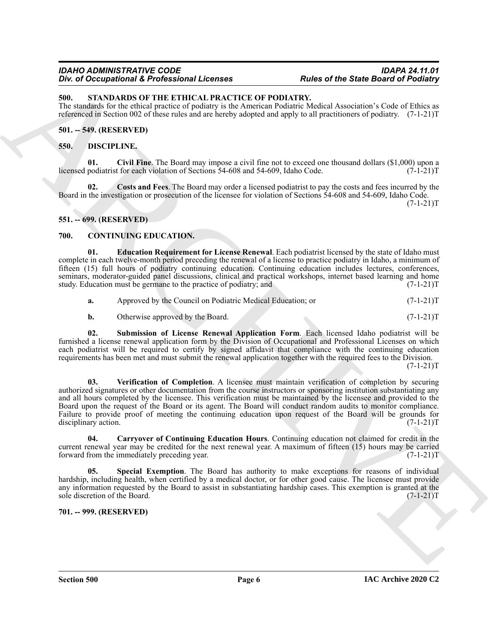# *IDAHO ADMINISTRATIVE CODE IDAPA 24.11.01* **Div. of Occupational & Professional Licenses**

# <span id="page-5-15"></span><span id="page-5-0"></span>**500. STANDARDS OF THE ETHICAL PRACTICE OF PODIATRY.**

The standards for the ethical practice of podiatry is the American Podiatric Medical Association's Code of Ethics as referenced in Section 002 of these rules and are hereby adopted and apply to all practitioners of podiatry. (7-1-21)T

# <span id="page-5-1"></span>**501. -- 549. (RESERVED)**

# <span id="page-5-13"></span><span id="page-5-12"></span><span id="page-5-2"></span>**550. DISCIPLINE.**

**01. Civil Fine**. The Board may impose a civil fine not to exceed one thousand dollars (\$1,000) upon a licensed podiatrist for each violation of Sections 54-608 and 54-609, Idaho Code. (7-1-21)T

<span id="page-5-14"></span>**02. Costs and Fees**. The Board may order a licensed podiatrist to pay the costs and fees incurred by the Board in the investigation or prosecution of the licensee for violation of Sections 54-608 and 54-609, Idaho Code.

 $(7-1-21)T$ 

# <span id="page-5-3"></span>**551. -- 699. (RESERVED)**

# <span id="page-5-6"></span><span id="page-5-4"></span>**700. CONTINUING EDUCATION.**

<span id="page-5-8"></span>**01. Education Requirement for License Renewal**. Each podiatrist licensed by the state of Idaho must complete in each twelve-month period preceding the renewal of a license to practice podiatry in Idaho, a minimum of fifteen (15) full hours of podiatry continuing education. Continuing education includes lectures, conferences, seminars, moderator-guided panel discussions, clinical and practical workshops, internet based learning and home study. Education must be germane to the practice of podiatry; and  $(7-1-21)$ study. Education must be germane to the practice of podiatry; and

| а. | Approved by the Council on Podiatric Medical Education; or | $(7-1-21)T$ |
|----|------------------------------------------------------------|-------------|
|----|------------------------------------------------------------|-------------|

<span id="page-5-11"></span><span id="page-5-10"></span>**b.** Otherwise approved by the Board. (7-1-21)T

**02. Submission of License Renewal Application Form**. Each licensed Idaho podiatrist will be furnished a license renewal application form by the Division of Occupational and Professional Licenses on which each podiatrist will be required to certify by signed affidavit that compliance with the continuing education requirements has been met and must submit the renewal application together with the required fees to the Division.

 $(7-1-21)T$ 

One of Decembetive Constrainers (English Constrainers (English Constrainers of the State Based of Politician (English) (But the Constrainers of the State Based of Politician (English) (But the Constrainers of the Constra **03. Verification of Completion**. A licensee must maintain verification of completion by securing authorized signatures or other documentation from the course instructors or sponsoring institution substantiating any and all hours completed by the licensee. This verification must be maintained by the licensee and provided to the Board upon the request of the Board or its agent. The Board will conduct random audits to monitor compliance. Failure to provide proof of meeting the continuing education upon request of the Board will be grounds for disciplinary action. (7-1-21)T

<span id="page-5-7"></span>**04. Carryover of Continuing Education Hours**. Continuing education not claimed for credit in the current renewal year may be credited for the next renewal year. A maximum of fifteen (15) hours may be carried forward from the immediately preceding year. forward from the immediately preceding year.

<span id="page-5-9"></span>**Special Exemption**. The Board has authority to make exceptions for reasons of individual hardship, including health, when certified by a medical doctor, or for other good cause. The licensee must provide any information requested by the Board to assist in substantiating hardship cases. This exemption is granted at the sole discretion of the Board. (7-1-21)T sole discretion of the Board.

<span id="page-5-5"></span>**701. -- 999. (RESERVED)**